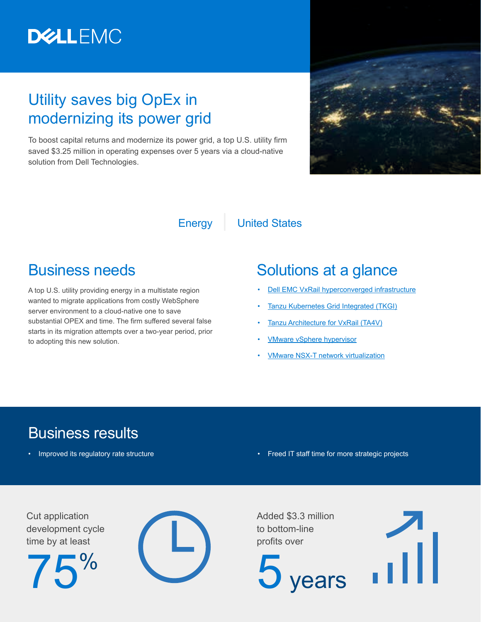

# Utility saves big OpEx in modernizing its power grid

To boost capital returns and modernize its power grid, a top U.S. utility firm saved \$3.25 million in operating expenses over 5 years via a cloud-native solution from Dell Technologies.



#### Energy | United States

### Business needs

A top U.S. utility providing energy in a multistate region wanted to migrate applications from costly WebSphere server environment to a cloud-native one to save substantial OPEX and time. The firm suffered several false starts in its migration attempts over a two-year period, prior to adopting this new solution.

## Solutions at a glance

- **[Dell EMC VxRail hyperconverged infrastructure](https://www.delltechnologies.com/en-us/converged-infrastructure/vxrail/index.htm)**
- [Tanzu Kubernetes Grid Integrated \(TKGI\)](https://docs.vmware.com/en/VMware-Tanzu-Kubernetes-Grid-Integrated-Edition/index.html)
- [Tanzu Architecture for VxRail \(TA4V\)](https://www.dellemc.com/resources/en-us/asset/offering-overview-documents/products/converged-infrastructure/tanzu-architecture-on-vxrail-solution-overview.pdf)
- [VMware vSphere hypervisor](https://www.vmware.com/products/vsphere-hypervisor.html)
- [VMware NSX-T network virtualization](https://www.vmware.com/products/nsx.html)

# Business results

- 
- Improved its regulatory rate structure  **Freed IT staff time for more strategic projects**

Cut application development cycle time by at least





Added \$3.3 million to bottom-line profits over

vears

...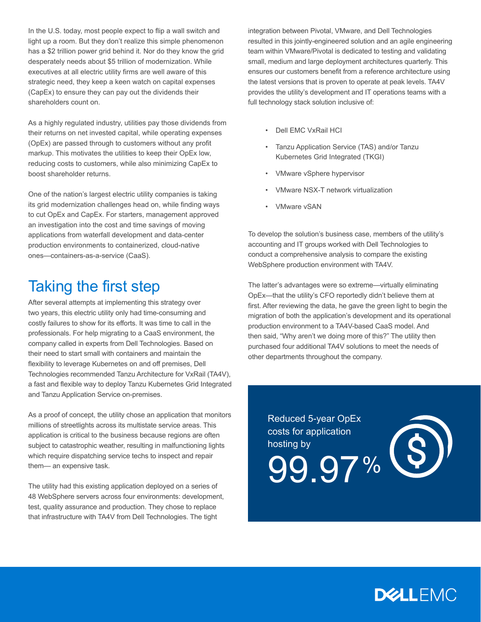In the U.S. today, most people expect to flip a wall switch and light up a room. But they don't realize this simple phenomenon has a \$2 trillion power grid behind it. Nor do they know the grid desperately needs about \$5 trillion of modernization. While executives at all electric utility firms are well aware of this strategic need, they keep a keen watch on capital expenses (CapEx) to ensure they can pay out the dividends their shareholders count on.

As a highly regulated industry, utilities pay those dividends from their returns on net invested capital, while operating expenses (OpEx) are passed through to customers without any profit markup. This motivates the utilities to keep their OpEx low, reducing costs to customers, while also minimizing CapEx to boost shareholder returns.

One of the nation's largest electric utility companies is taking its grid modernization challenges head on, while finding ways to cut OpEx and CapEx. For starters, management approved an investigation into the cost and time savings of moving applications from waterfall development and data-center production environments to containerized, cloud-native ones—containers-as-a-service (CaaS).

# Taking the first step

After several attempts at implementing this strategy over two years, this electric utility only had time-consuming and costly failures to show for its efforts. It was time to call in the professionals. For help migrating to a CaaS environment, the company called in experts from Dell Technologies. Based on their need to start small with containers and maintain the flexibility to leverage Kubernetes on and off premises, Dell Technologies recommended Tanzu Architecture for VxRail (TA4V), a fast and flexible way to deploy Tanzu Kubernetes Grid Integrated and Tanzu Application Service on-premises.

As a proof of concept, the utility chose an application that monitors millions of streetlights across its multistate service areas. This application is critical to the business because regions are often subject to catastrophic weather, resulting in malfunctioning lights which require dispatching service techs to inspect and repair them— an expensive task.

The utility had this existing application deployed on a series of 48 WebSphere servers across four environments: development, test, quality assurance and production. They chose to replace that infrastructure with TA4V from Dell Technologies. The tight

integration between Pivotal, VMware, and Dell Technologies resulted in this jointly-engineered solution and an agile engineering team within VMware/Pivotal is dedicated to testing and validating small, medium and large deployment architectures quarterly. This ensures our customers benefit from a reference architecture using the latest versions that is proven to operate at peak levels. TA4V provides the utility's development and IT operations teams with a full technology stack solution inclusive of:

- Dell EMC VxRail HCI
- Tanzu Application Service (TAS) and/or Tanzu Kubernetes Grid Integrated (TKGI)
- VMware vSphere hypervisor
- VMware NSX-T network virtualization
- VMware vSAN

To develop the solution's business case, members of the utility's accounting and IT groups worked with Dell Technologies to conduct a comprehensive analysis to compare the existing WebSphere production environment with TA4V.

The latter's advantages were so extreme—virtually eliminating OpEx—that the utility's CFO reportedly didn't believe them at first. After reviewing the data, he gave the green light to begin the migration of both the application's development and its operational production environment to a TA4V-based CaaS model. And then said, "Why aren't we doing more of this?" The utility then purchased four additional TA4V solutions to meet the needs of other departments throughout the company.

Reduced 5-year OpEx costs for application hosting by 99.97%